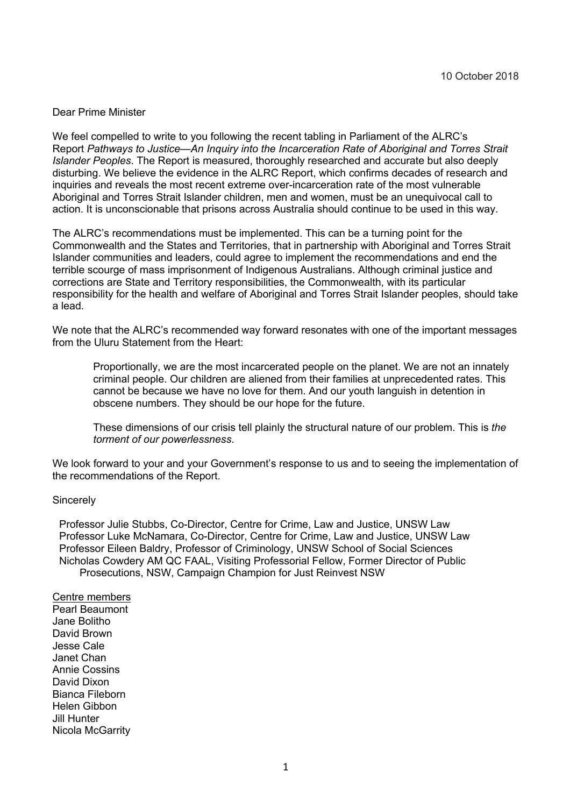## Dear Prime Minister

We feel compelled to write to you following the recent tabling in Parliament of the ALRC's Report *Pathways to Justice—An Inquiry into the Incarceration Rate of Aboriginal and Torres Strait Islander Peoples*. The Report is measured, thoroughly researched and accurate but also deeply disturbing. We believe the evidence in the ALRC Report, which confirms decades of research and inquiries and reveals the most recent extreme over-incarceration rate of the most vulnerable Aboriginal and Torres Strait Islander children, men and women, must be an unequivocal call to action. It is unconscionable that prisons across Australia should continue to be used in this way.

The ALRC's recommendations must be implemented. This can be a turning point for the Commonwealth and the States and Territories, that in partnership with Aboriginal and Torres Strait Islander communities and leaders, could agree to implement the recommendations and end the terrible scourge of mass imprisonment of Indigenous Australians. Although criminal justice and corrections are State and Territory responsibilities, the Commonwealth, with its particular responsibility for the health and welfare of Aboriginal and Torres Strait Islander peoples, should take a lead.

We note that the ALRC's recommended way forward resonates with one of the important messages from the Uluru Statement from the Heart:

Proportionally, we are the most incarcerated people on the planet. We are not an innately criminal people. Our children are aliened from their families at unprecedented rates. This cannot be because we have no love for them. And our youth languish in detention in obscene numbers. They should be our hope for the future.

These dimensions of our crisis tell plainly the structural nature of our problem. This is *the torment of our powerlessness*.

We look forward to your and your Government's response to us and to seeing the implementation of the recommendations of the Report.

## **Sincerely**

Professor Julie Stubbs, Co-Director, Centre for Crime, Law and Justice, UNSW Law Professor Luke McNamara, Co-Director, Centre for Crime, Law and Justice, UNSW Law Professor Eileen Baldry, Professor of Criminology, UNSW School of Social Sciences Nicholas Cowdery AM QC FAAL, Visiting Professorial Fellow, Former Director of Public Prosecutions, NSW, Campaign Champion for Just Reinvest NSW

Centre members Pearl Beaumont Jane Bolitho David Brown Jesse Cale Janet Chan Annie Cossins David Dixon Bianca Fileborn Helen Gibbon Jill Hunter Nicola McGarrity